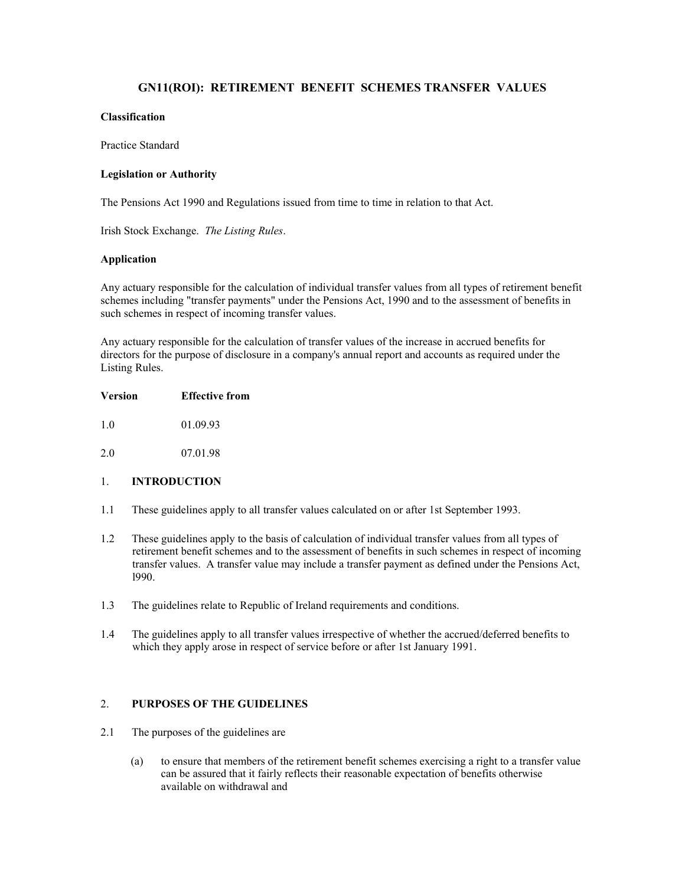# **GN11(ROI): RETIREMENT BENEFIT SCHEMES TRANSFER VALUES**

### **Classification**

Practice Standard

#### **Legislation or Authority**

The Pensions Act 1990 and Regulations issued from time to time in relation to that Act.

Irish Stock Exchange. *The Listing Rules*.

#### **Application**

Any actuary responsible for the calculation of individual transfer values from all types of retirement benefit schemes including "transfer payments" under the Pensions Act, 1990 and to the assessment of benefits in such schemes in respect of incoming transfer values.

Any actuary responsible for the calculation of transfer values of the increase in accrued benefits for directors for the purpose of disclosure in a company's annual report and accounts as required under the Listing Rules.

- 1.0 01.09.93
- 2.0 07.01.98

## 1. **INTRODUCTION**

- 1.1 These guidelines apply to all transfer values calculated on or after 1st September 1993.
- 1.2 These guidelines apply to the basis of calculation of individual transfer values from all types of retirement benefit schemes and to the assessment of benefits in such schemes in respect of incoming transfer values. A transfer value may include a transfer payment as defined under the Pensions Act, l990.
- 1.3 The guidelines relate to Republic of Ireland requirements and conditions.
- 1.4 The guidelines apply to all transfer values irrespective of whether the accrued/deferred benefits to which they apply arose in respect of service before or after 1st January 1991.

## 2. **PURPOSES OF THE GUIDELINES**

- 2.1 The purposes of the guidelines are
	- (a) to ensure that members of the retirement benefit schemes exercising a right to a transfer value can be assured that it fairly reflects their reasonable expectation of benefits otherwise available on withdrawal and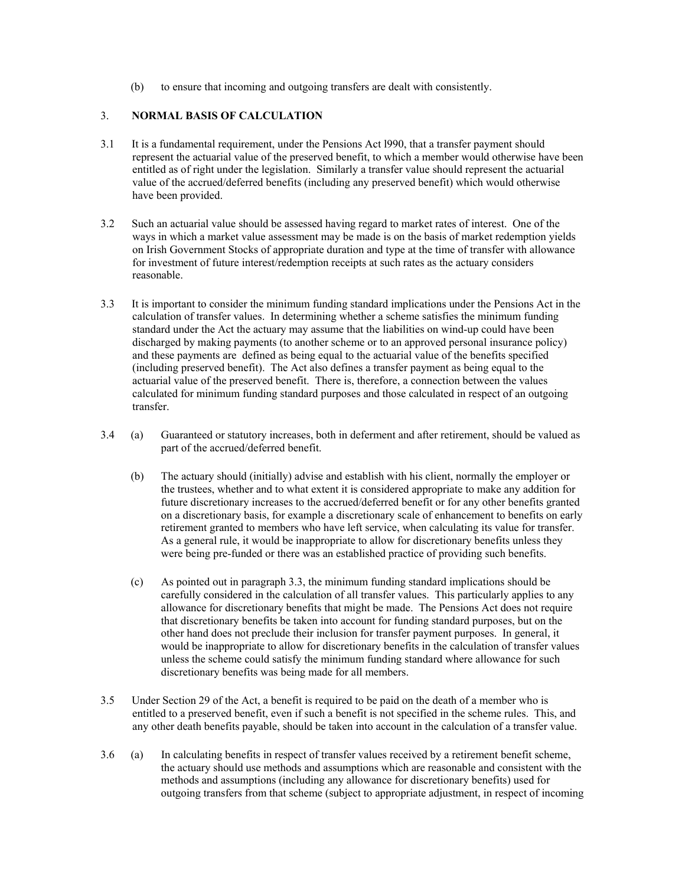(b) to ensure that incoming and outgoing transfers are dealt with consistently.

# 3. **NORMAL BASIS OF CALCULATION**

- 3.1 It is a fundamental requirement, under the Pensions Act l990, that a transfer payment should represent the actuarial value of the preserved benefit, to which a member would otherwise have been entitled as of right under the legislation. Similarly a transfer value should represent the actuarial value of the accrued/deferred benefits (including any preserved benefit) which would otherwise have been provided.
- 3.2 Such an actuarial value should be assessed having regard to market rates of interest. One of the ways in which a market value assessment may be made is on the basis of market redemption yields on Irish Government Stocks of appropriate duration and type at the time of transfer with allowance for investment of future interest/redemption receipts at such rates as the actuary considers reasonable.
- 3.3 It is important to consider the minimum funding standard implications under the Pensions Act in the calculation of transfer values. In determining whether a scheme satisfies the minimum funding standard under the Act the actuary may assume that the liabilities on wind-up could have been discharged by making payments (to another scheme or to an approved personal insurance policy) and these payments are defined as being equal to the actuarial value of the benefits specified (including preserved benefit). The Act also defines a transfer payment as being equal to the actuarial value of the preserved benefit. There is, therefore, a connection between the values calculated for minimum funding standard purposes and those calculated in respect of an outgoing transfer.
- 3.4 (a) Guaranteed or statutory increases, both in deferment and after retirement, should be valued as part of the accrued/deferred benefit.
	- (b) The actuary should (initially) advise and establish with his client, normally the employer or the trustees, whether and to what extent it is considered appropriate to make any addition for future discretionary increases to the accrued/deferred benefit or for any other benefits granted on a discretionary basis, for example a discretionary scale of enhancement to benefits on early retirement granted to members who have left service, when calculating its value for transfer. As a general rule, it would be inappropriate to allow for discretionary benefits unless they were being pre-funded or there was an established practice of providing such benefits.
	- (c) As pointed out in paragraph 3.3, the minimum funding standard implications should be carefully considered in the calculation of all transfer values. This particularly applies to any allowance for discretionary benefits that might be made. The Pensions Act does not require that discretionary benefits be taken into account for funding standard purposes, but on the other hand does not preclude their inclusion for transfer payment purposes. In general, it would be inappropriate to allow for discretionary benefits in the calculation of transfer values unless the scheme could satisfy the minimum funding standard where allowance for such discretionary benefits was being made for all members.
- 3.5 Under Section 29 of the Act, a benefit is required to be paid on the death of a member who is entitled to a preserved benefit, even if such a benefit is not specified in the scheme rules. This, and any other death benefits payable, should be taken into account in the calculation of a transfer value.
- 3.6 (a) In calculating benefits in respect of transfer values received by a retirement benefit scheme, the actuary should use methods and assumptions which are reasonable and consistent with the methods and assumptions (including any allowance for discretionary benefits) used for outgoing transfers from that scheme (subject to appropriate adjustment, in respect of incoming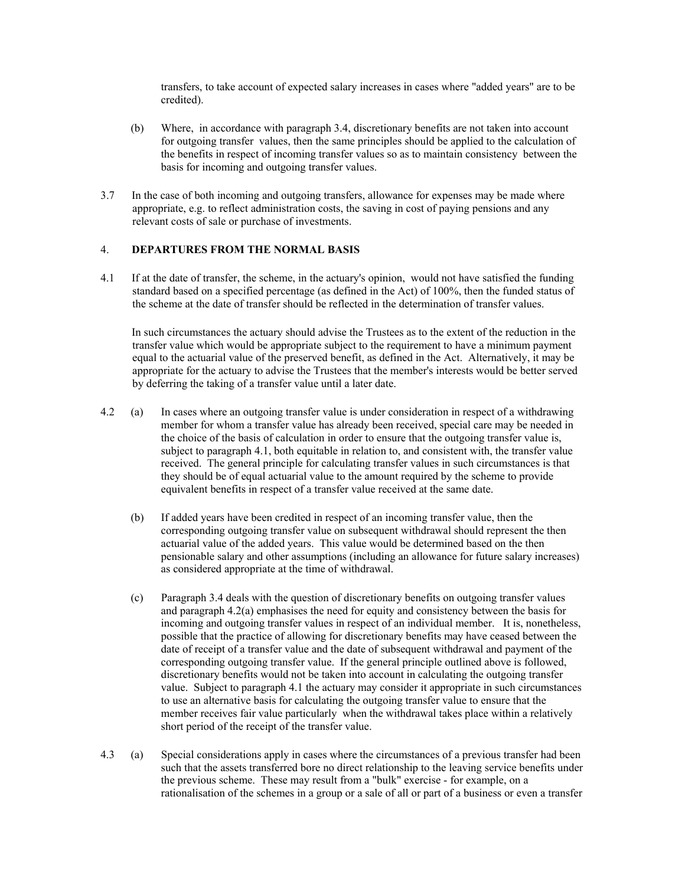transfers, to take account of expected salary increases in cases where "added years" are to be credited).

- (b) Where, in accordance with paragraph 3.4, discretionary benefits are not taken into account for outgoing transfer values, then the same principles should be applied to the calculation of the benefits in respect of incoming transfer values so as to maintain consistency between the basis for incoming and outgoing transfer values.
- 3.7 In the case of both incoming and outgoing transfers, allowance for expenses may be made where appropriate, e.g. to reflect administration costs, the saving in cost of paying pensions and any relevant costs of sale or purchase of investments.

## 4. **DEPARTURES FROM THE NORMAL BASIS**

4.1 If at the date of transfer, the scheme, in the actuary's opinion, would not have satisfied the funding standard based on a specified percentage (as defined in the Act) of 100%, then the funded status of the scheme at the date of transfer should be reflected in the determination of transfer values.

 In such circumstances the actuary should advise the Trustees as to the extent of the reduction in the transfer value which would be appropriate subject to the requirement to have a minimum payment equal to the actuarial value of the preserved benefit, as defined in the Act. Alternatively, it may be appropriate for the actuary to advise the Trustees that the member's interests would be better served by deferring the taking of a transfer value until a later date.

- 4.2 (a) In cases where an outgoing transfer value is under consideration in respect of a withdrawing member for whom a transfer value has already been received, special care may be needed in the choice of the basis of calculation in order to ensure that the outgoing transfer value is, subject to paragraph 4.1, both equitable in relation to, and consistent with, the transfer value received. The general principle for calculating transfer values in such circumstances is that they should be of equal actuarial value to the amount required by the scheme to provide equivalent benefits in respect of a transfer value received at the same date.
	- (b) If added years have been credited in respect of an incoming transfer value, then the corresponding outgoing transfer value on subsequent withdrawal should represent the then actuarial value of the added years. This value would be determined based on the then pensionable salary and other assumptions (including an allowance for future salary increases) as considered appropriate at the time of withdrawal.
	- (c) Paragraph 3.4 deals with the question of discretionary benefits on outgoing transfer values and paragraph 4.2(a) emphasises the need for equity and consistency between the basis for incoming and outgoing transfer values in respect of an individual member. It is, nonetheless, possible that the practice of allowing for discretionary benefits may have ceased between the date of receipt of a transfer value and the date of subsequent withdrawal and payment of the corresponding outgoing transfer value. If the general principle outlined above is followed, discretionary benefits would not be taken into account in calculating the outgoing transfer value. Subject to paragraph 4.1 the actuary may consider it appropriate in such circumstances to use an alternative basis for calculating the outgoing transfer value to ensure that the member receives fair value particularly when the withdrawal takes place within a relatively short period of the receipt of the transfer value.
- 4.3 (a) Special considerations apply in cases where the circumstances of a previous transfer had been such that the assets transferred bore no direct relationship to the leaving service benefits under the previous scheme. These may result from a "bulk" exercise - for example, on a rationalisation of the schemes in a group or a sale of all or part of a business or even a transfer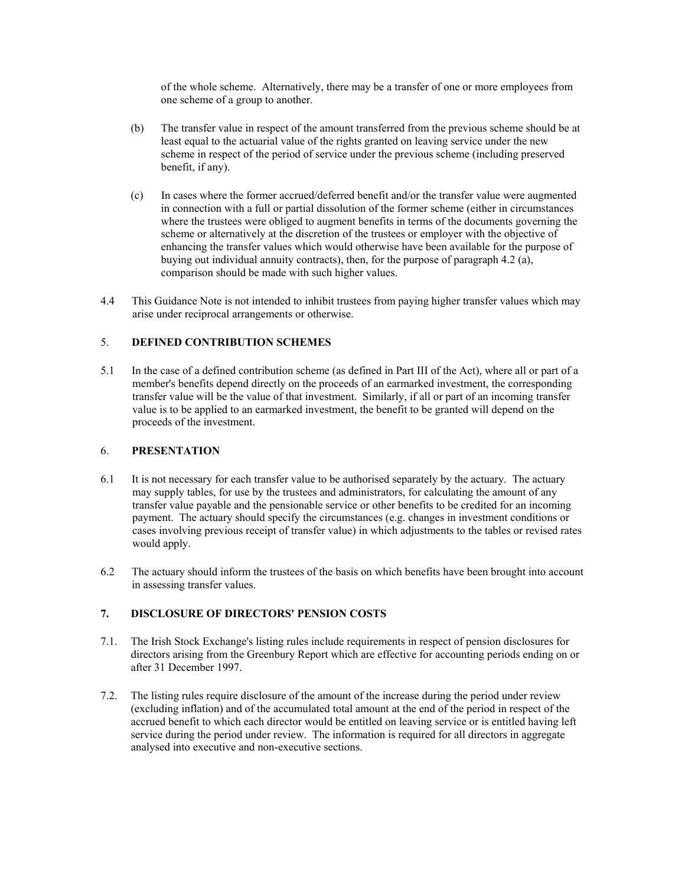of the whole scheme. Alternatively, there may be a transfer of one or more employees from one scheme of a group to another.

- (b) The transfer value in respect of the amount transferred from the previous scheme should be at least equal to the actuarial value of the rights granted on leaving service under the new scheme in respect of the period of service under the previous scheme (including preserved benefit, if any).
- (c) In cases where the former accrued/deferred benefit and/or the transfer value were augmented in connection with a full or partial dissolution of the former scheme (either in circumstances where the trustees were obliged to augment benefits in terms of the documents governing the scheme or alternatively at the discretion of the trustees or employer with the objective of enhancing the transfer values which would otherwise have been available for the purpose of buying out individual annuity contracts), then, for the purpose of paragraph 4.2 (a), comparison should be made with such higher values.
- 4.4 This Guidance Note is not intended to inhibit trustees from paying higher transfer values which may arise under reciprocal arrangements or otherwise.

# 5. **DEFINED CONTRIBUTION SCHEMES**

5.1 In the case of a defined contribution scheme (as defined in Part III of the Act), where all or part of a member's benefits depend directly on the proceeds of an earmarked investment, the corresponding transfer value will be the value of that investment. Similarly, if all or part of an incoming transfer value is to be applied to an earmarked investment, the benefit to be granted will depend on the proceeds of the investment.

#### 6. **PRESENTATION**

- 6.1 It is not necessary for each transfer value to be authorised separately by the actuary. The actuary may supply tables, for use by the trustees and administrators, for calculating the amount of any transfer value payable and the pensionable service or other benefits to be credited for an incoming payment. The actuary should specify the circumstances (e.g. changes in investment conditions or cases involving previous receipt of transfer value) in which adjustments to the tables or revised rates would apply.
- 6.2 The actuary should inform the trustees of the basis on which benefits have been brought into account in assessing transfer values.

# **7. DISCLOSURE OF DIRECTORS' PENSION COSTS**

- 7.1. The Irish Stock Exchange's listing rules include requirements in respect of pension disclosures for directors arising from the Greenbury Report which are effective for accounting periods ending on or after 31 December 1997.
- 7.2. The listing rules require disclosure of the amount of the increase during the period under review (excluding inflation) and of the accumulated total amount at the end of the period in respect of the accrued benefit to which each director would be entitled on leaving service or is entitled having left service during the period under review. The information is required for all directors in aggregate analysed into executive and non-executive sections.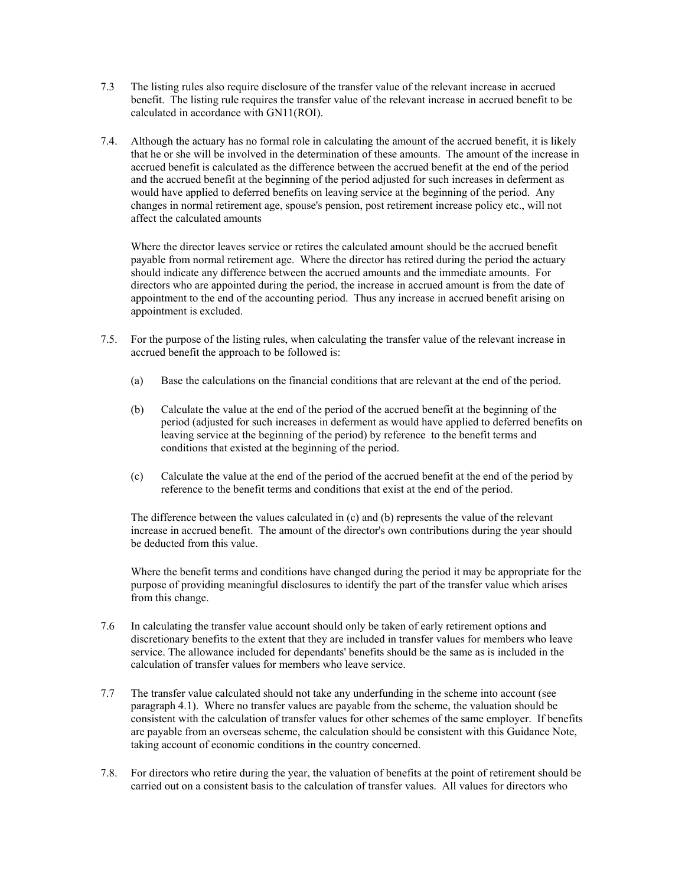- 7.3 The listing rules also require disclosure of the transfer value of the relevant increase in accrued benefit. The listing rule requires the transfer value of the relevant increase in accrued benefit to be calculated in accordance with GN11(ROI).
- 7.4. Although the actuary has no formal role in calculating the amount of the accrued benefit, it is likely that he or she will be involved in the determination of these amounts. The amount of the increase in accrued benefit is calculated as the difference between the accrued benefit at the end of the period and the accrued benefit at the beginning of the period adjusted for such increases in deferment as would have applied to deferred benefits on leaving service at the beginning of the period. Any changes in normal retirement age, spouse's pension, post retirement increase policy etc., will not affect the calculated amounts

 Where the director leaves service or retires the calculated amount should be the accrued benefit payable from normal retirement age. Where the director has retired during the period the actuary should indicate any difference between the accrued amounts and the immediate amounts. For directors who are appointed during the period, the increase in accrued amount is from the date of appointment to the end of the accounting period. Thus any increase in accrued benefit arising on appointment is excluded.

- 7.5. For the purpose of the listing rules, when calculating the transfer value of the relevant increase in accrued benefit the approach to be followed is:
	- (a) Base the calculations on the financial conditions that are relevant at the end of the period.
	- (b) Calculate the value at the end of the period of the accrued benefit at the beginning of the period (adjusted for such increases in deferment as would have applied to deferred benefits on leaving service at the beginning of the period) by reference to the benefit terms and conditions that existed at the beginning of the period.
	- (c) Calculate the value at the end of the period of the accrued benefit at the end of the period by reference to the benefit terms and conditions that exist at the end of the period.

 The difference between the values calculated in (c) and (b) represents the value of the relevant increase in accrued benefit. The amount of the director's own contributions during the year should be deducted from this value.

 Where the benefit terms and conditions have changed during the period it may be appropriate for the purpose of providing meaningful disclosures to identify the part of the transfer value which arises from this change.

- 7.6 In calculating the transfer value account should only be taken of early retirement options and discretionary benefits to the extent that they are included in transfer values for members who leave service. The allowance included for dependants' benefits should be the same as is included in the calculation of transfer values for members who leave service.
- 7.7 The transfer value calculated should not take any underfunding in the scheme into account (see paragraph 4.1). Where no transfer values are payable from the scheme, the valuation should be consistent with the calculation of transfer values for other schemes of the same employer. If benefits are payable from an overseas scheme, the calculation should be consistent with this Guidance Note, taking account of economic conditions in the country concerned.
- 7.8. For directors who retire during the year, the valuation of benefits at the point of retirement should be carried out on a consistent basis to the calculation of transfer values. All values for directors who